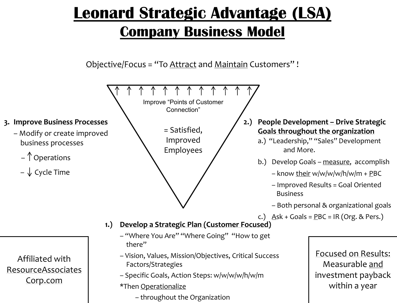## **Leonard Strategic Advantage (LSA) Company Business Model**

Objective/Focus = "To Attract and Maintain Customers" !